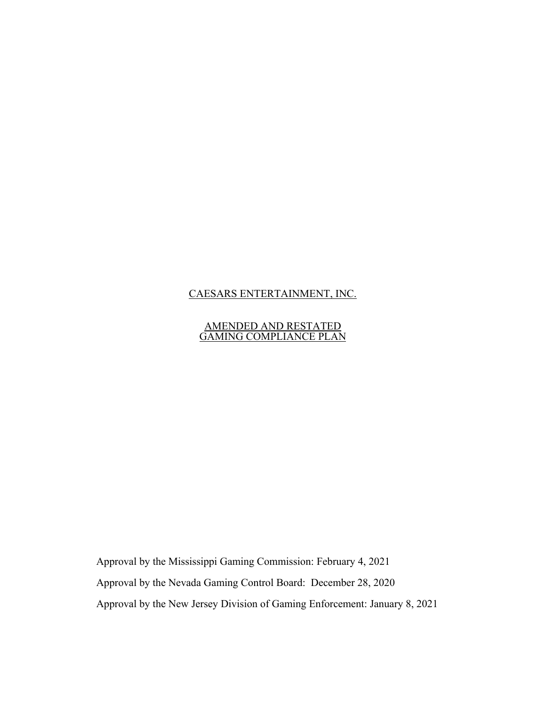# CAESARS ENTERTAINMENT, INC.

#### AMENDED AND RESTATED GAMING COMPLIANCE PLAN

Approval by the Mississippi Gaming Commission: February 4, 2021 Approval by the Nevada Gaming Control Board: December 28, 2020 Approval by the New Jersey Division of Gaming Enforcement: January 8, 2021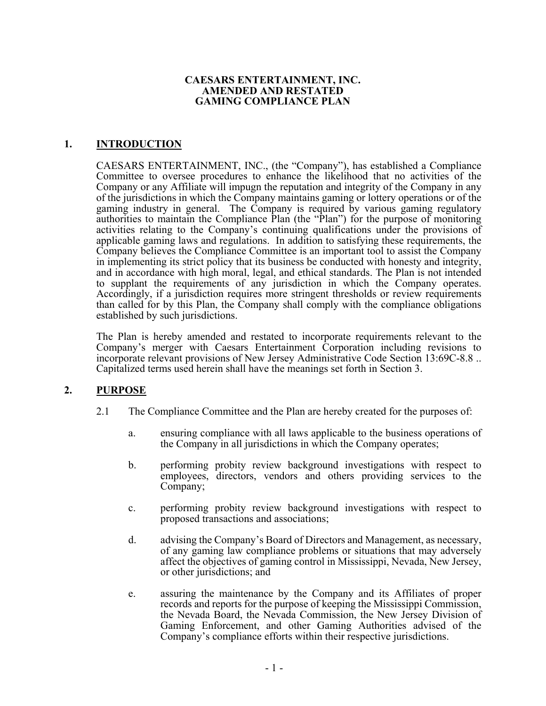### **CAESARS ENTERTAINMENT, INC. AMENDED AND RESTATED GAMING COMPLIANCE PLAN**

## **1. INTRODUCTION**

CAESARS ENTERTAINMENT, INC., (the "Company"), has established a Compliance Committee to oversee procedures to enhance the likelihood that no activities of the Company or any Affiliate will impugn the reputation and integrity of the Company in any of the jurisdictions in which the Company maintains gaming or lottery operations or of the gaming industry in general. The Company is required by various gaming regulatory authorities to maintain the Compliance Plan (the "Plan") for the purpose of monitoring activities relating to the Company's continuing qualifications under the provisions of applicable gaming laws and regulations. In addition to satisfying these requirements, the Company believes the Compliance Committee is an important tool to assist the Company in implementing its strict policy that its business be conducted with honesty and integrity, and in accordance with high moral, legal, and ethical standards. The Plan is not intended to supplant the requirements of any jurisdiction in which the Company operates. Accordingly, if a jurisdiction requires more stringent thresholds or review requirements than called for by this Plan, the Company shall comply with the compliance obligations established by such jurisdictions.

The Plan is hereby amended and restated to incorporate requirements relevant to the Company's merger with Caesars Entertainment Corporation including revisions to incorporate relevant provisions of New Jersey Administrative Code Section 13:69C-8.8 .. Capitalized terms used herein shall have the meanings set forth in Section 3.

## **2. PURPOSE**

- 2.1 The Compliance Committee and the Plan are hereby created for the purposes of:
	- a. ensuring compliance with all laws applicable to the business operations of the Company in all jurisdictions in which the Company operates;
	- b. performing probity review background investigations with respect to employees, directors, vendors and others providing services to the Company;
	- c. performing probity review background investigations with respect to proposed transactions and associations;
	- d. advising the Company's Board of Directors and Management, as necessary, of any gaming law compliance problems or situations that may adversely affect the objectives of gaming control in Mississippi, Nevada, New Jersey, or other jurisdictions; and
	- e. assuring the maintenance by the Company and its Affiliates of proper records and reports for the purpose of keeping the Mississippi Commission, the Nevada Board, the Nevada Commission, the New Jersey Division of Gaming Enforcement, and other Gaming Authorities advised of the Company's compliance efforts within their respective jurisdictions.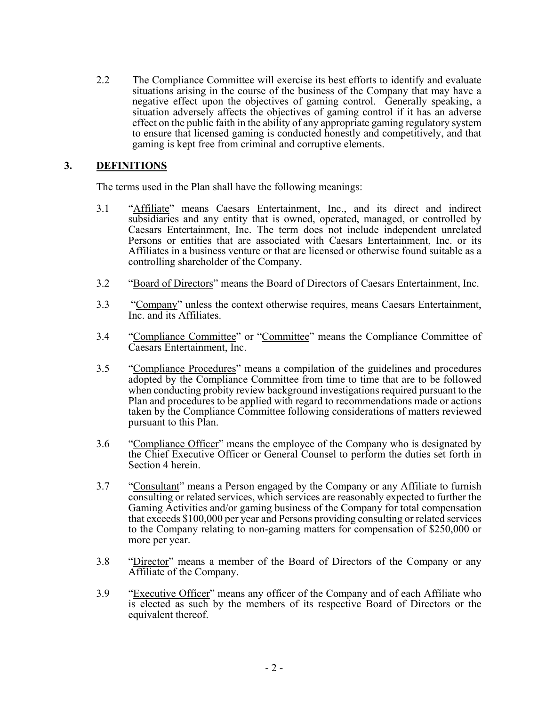2.2 The Compliance Committee will exercise its best efforts to identify and evaluate situations arising in the course of the business of the Company that may have a negative effect upon the objectives of gaming control. Generally speaking, a situation adversely affects the objectives of gaming control if it has an adverse effect on the public faith in the ability of any appropriate gaming regulatory system to ensure that licensed gaming is conducted honestly and competitively, and that gaming is kept free from criminal and corruptive elements.

### **3. DEFINITIONS**

The terms used in the Plan shall have the following meanings:

- 3.1 "Affiliate" means Caesars Entertainment, Inc., and its direct and indirect subsidiaries and any entity that is owned, operated, managed, or controlled by Caesars Entertainment, Inc. The term does not include independent unrelated Persons or entities that are associated with Caesars Entertainment, Inc. or its Affiliates in a business venture or that are licensed or otherwise found suitable as a controlling shareholder of the Company.
- 3.2 "Board of Directors" means the Board of Directors of Caesars Entertainment, Inc.
- 3.3 "Company" unless the context otherwise requires, means Caesars Entertainment, Inc. and its Affiliates.
- 3.4 "Compliance Committee" or "Committee" means the Compliance Committee of Caesars Entertainment, Inc.
- 3.5 "Compliance Procedures" means a compilation of the guidelines and procedures adopted by the Compliance Committee from time to time that are to be followed when conducting probity review background investigations required pursuant to the Plan and procedures to be applied with regard to recommendations made or actions taken by the Compliance Committee following considerations of matters reviewed pursuant to this Plan.
- 3.6 "Compliance Officer" means the employee of the Company who is designated by the Chief Executive Officer or General Counsel to perform the duties set forth in Section 4 herein.
- 3.7 "Consultant" means a Person engaged by the Company or any Affiliate to furnish consulting or related services, which services are reasonably expected to further the Gaming Activities and/or gaming business of the Company for total compensation that exceeds \$100,000 per year and Persons providing consulting or related services to the Company relating to non-gaming matters for compensation of \$250,000 or more per year.
- 3.8 "Director" means a member of the Board of Directors of the Company or any Affiliate of the Company.
- 3.9 "Executive Officer" means any officer of the Company and of each Affiliate who is elected as such by the members of its respective Board of Directors or the equivalent thereof.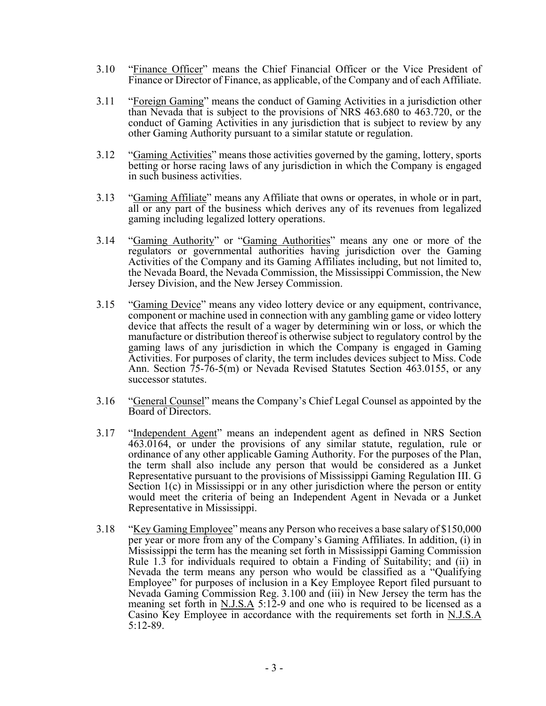- 3.10 "Finance Officer" means the Chief Financial Officer or the Vice President of Finance or Director of Finance, as applicable, of the Company and of each Affiliate.
- 3.11 "Foreign Gaming" means the conduct of Gaming Activities in a jurisdiction other than Nevada that is subject to the provisions of NRS 463.680 to 463.720, or the conduct of Gaming Activities in any jurisdiction that is subject to review by any other Gaming Authority pursuant to a similar statute or regulation.
- 3.12 "Gaming Activities" means those activities governed by the gaming, lottery, sports betting or horse racing laws of any jurisdiction in which the Company is engaged in such business activities.
- 3.13 "Gaming Affiliate" means any Affiliate that owns or operates, in whole or in part, all or any part of the business which derives any of its revenues from legalized gaming including legalized lottery operations.
- 3.14 "Gaming Authority" or "Gaming Authorities" means any one or more of the regulators or governmental authorities having jurisdiction over the Gaming Activities of the Company and its Gaming Affiliates including, but not limited to, the Nevada Board, the Nevada Commission, the Mississippi Commission, the New Jersey Division, and the New Jersey Commission.
- 3.15 "Gaming Device" means any video lottery device or any equipment, contrivance, component or machine used in connection with any gambling game or video lottery device that affects the result of a wager by determining win or loss, or which the manufacture or distribution thereof is otherwise subject to regulatory control by the gaming laws of any jurisdiction in which the Company is engaged in Gaming Activities. For purposes of clarity, the term includes devices subject to Miss. Code Ann. Section 75-76-5(m) or Nevada Revised Statutes Section 463.0155, or any successor statutes.
- 3.16 "General Counsel" means the Company's Chief Legal Counsel as appointed by the Board of Directors.
- 3.17 "Independent Agent" means an independent agent as defined in NRS Section 463.0164, or under the provisions of any similar statute, regulation, rule or ordinance of any other applicable Gaming Authority. For the purposes of the Plan, the term shall also include any person that would be considered as a Junket Representative pursuant to the provisions of Mississippi Gaming Regulation III. G Section  $1(c)$  in Mississippi or in any other jurisdiction where the person or entity would meet the criteria of being an Independent Agent in Nevada or a Junket Representative in Mississippi.
- 3.18 "Key Gaming Employee" means any Person who receives a base salary of \$150,000 per year or more from any of the Company's Gaming Affiliates. In addition, (i) in Mississippi the term has the meaning set forth in Mississippi Gaming Commission Rule 1.3 for individuals required to obtain a Finding of Suitability; and (ii) in Nevada the term means any person who would be classified as a "Qualifying Employee" for purposes of inclusion in a Key Employee Report filed pursuant to Nevada Gaming Commission Reg. 3.100 and (iii) in New Jersey the term has the meaning set forth in N.J.S.A 5:12-9 and one who is required to be licensed as a Casino Key Employee in accordance with the requirements set forth in N.J.S.A 5:12-89.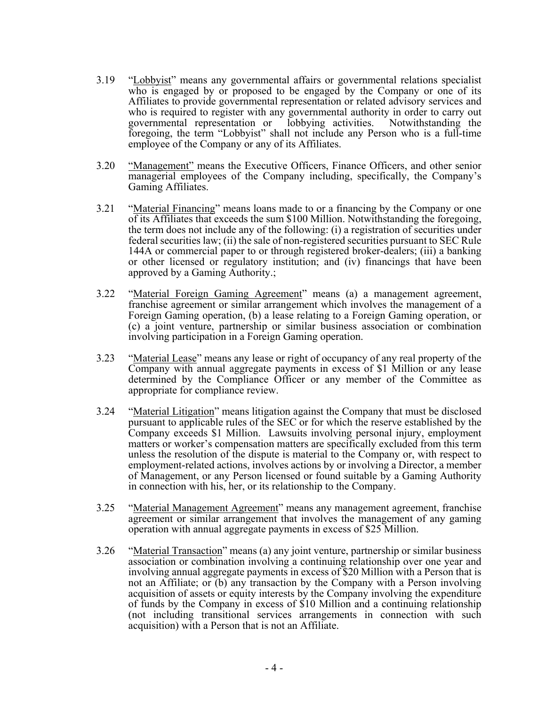- 3.19 "Lobbyist" means any governmental affairs or governmental relations specialist who is engaged by or proposed to be engaged by the Company or one of its Affiliates to provide governmental representation or related advisory services and who is required to register with any governmental authority in order to carry out governmental representation or lobbying activities. Notwithstanding the foregoing, the term "Lobbyist" shall not include any Person who is a full-time employee of the Company or any of its Affiliates.
- 3.20 "Management" means the Executive Officers, Finance Officers, and other senior managerial employees of the Company including, specifically, the Company's Gaming Affiliates.
- 3.21 "Material Financing" means loans made to or a financing by the Company or one of its Affiliates that exceeds the sum \$100 Million. Notwithstanding the foregoing, the term does not include any of the following: (i) a registration of securities under federal securities law; (ii) the sale of non-registered securities pursuant to SEC Rule 144A or commercial paper to or through registered broker-dealers; (iii) a banking or other licensed or regulatory institution; and (iv) financings that have been approved by a Gaming Authority.;
- 3.22 "Material Foreign Gaming Agreement" means (a) a management agreement, franchise agreement or similar arrangement which involves the management of a Foreign Gaming operation, (b) a lease relating to a Foreign Gaming operation, or (c) a joint venture, partnership or similar business association or combination involving participation in a Foreign Gaming operation.
- 3.23 "Material Lease" means any lease or right of occupancy of any real property of the Company with annual aggregate payments in excess of \$1 Million or any lease determined by the Compliance Officer or any member of the Committee as appropriate for compliance review.
- 3.24 "Material Litigation" means litigation against the Company that must be disclosed pursuant to applicable rules of the SEC or for which the reserve established by the Company exceeds \$1 Million. Lawsuits involving personal injury, employment matters or worker's compensation matters are specifically excluded from this term unless the resolution of the dispute is material to the Company or, with respect to employment-related actions, involves actions by or involving a Director, a member of Management, or any Person licensed or found suitable by a Gaming Authority in connection with his, her, or its relationship to the Company.
- 3.25 "Material Management Agreement" means any management agreement, franchise agreement or similar arrangement that involves the management of any gaming operation with annual aggregate payments in excess of \$25 Million.
- 3.26 "Material Transaction" means (a) any joint venture, partnership or similar business association or combination involving a continuing relationship over one year and involving annual aggregate payments in excess of \$20 Million with a Person that is not an Affiliate; or (b) any transaction by the Company with a Person involving acquisition of assets or equity interests by the Company involving the expenditure of funds by the Company in excess of \$10 Million and a continuing relationship (not including transitional services arrangements in connection with such acquisition) with a Person that is not an Affiliate.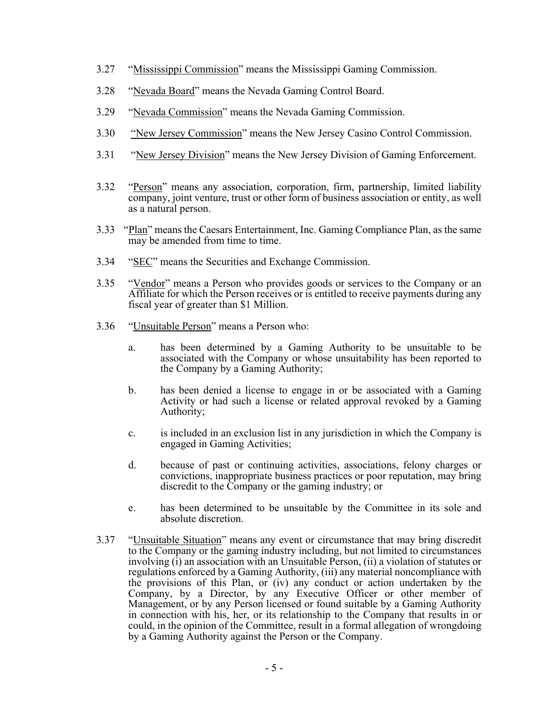- 3.27 "Mississippi Commission" means the Mississippi Gaming Commission.
- 3.28 "Nevada Board" means the Nevada Gaming Control Board.
- 3.29 "Nevada Commission" means the Nevada Gaming Commission.
- 3.30 "New Jersey Commission" means the New Jersey Casino Control Commission.
- 3.31 "New Jersey Division" means the New Jersey Division of Gaming Enforcement.
- 3.32 "Person" means any association, corporation, firm, partnership, limited liability company, joint venture, trust or other form of business association or entity, as well as a natural person.
- 3.33 "Plan" means the Caesars Entertainment, Inc. Gaming Compliance Plan, as the same may be amended from time to time.
- 3.34 "SEC" means the Securities and Exchange Commission.
- 3.35 "Vendor" means a Person who provides goods or services to the Company or an Affiliate for which the Person receives or is entitled to receive payments during any fiscal year of greater than \$1 Million.
- 3.36 "Unsuitable Person" means a Person who:
	- a. has been determined by a Gaming Authority to be unsuitable to be associated with the Company or whose unsuitability has been reported to the Company by a Gaming Authority;
	- b. has been denied a license to engage in or be associated with a Gaming Activity or had such a license or related approval revoked by a Gaming Authority;
	- c. is included in an exclusion list in any jurisdiction in which the Company is engaged in Gaming Activities;
	- d. because of past or continuing activities, associations, felony charges or convictions, inappropriate business practices or poor reputation, may bring discredit to the Company or the gaming industry; or
- e. has been determined to be unsuitable by the Committee in its sole and absolute discretion.<br>3.37 "Unsuitable Situation" means any event or circumstance that may bring discredit
- to the Company or the gaming industry including, but not limited to circumstances involving (i) an association with an Unsuitable Person, (ii) a violation of statutes or regulations enforced by a Gaming Authority, (iii) any material noncompliance with the provisions of this Plan, or (iv) any conduct or action undertaken by the Company, by a Director, by any Executive Officer or other member of Management, or by any Person licensed or found suitable by a Gaming Authority in connection with his, her, or its relationship to the Company that results in or could, in the opinion of the Committee, result in a formal allegation of wrongdoing by a Gaming Authority against the Person or the Company.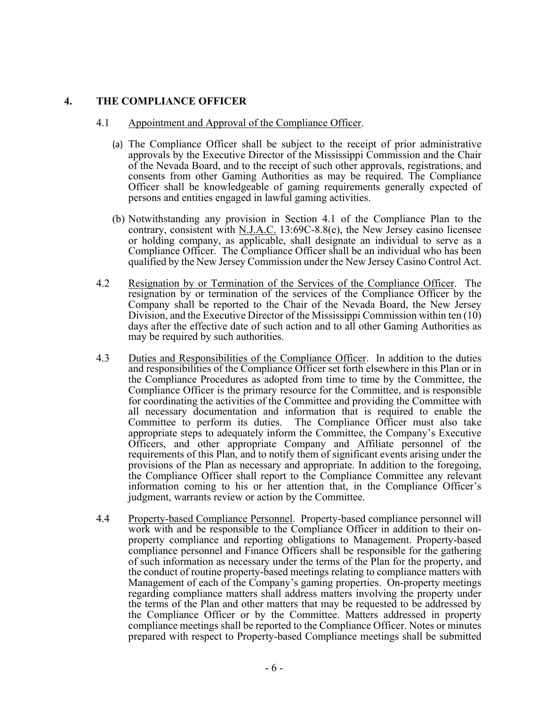### **4. THE COMPLIANCE OFFICER**

### 4.1 Appointment and Approval of the Compliance Officer.

- (a) The Compliance Officer shall be subject to the receipt of prior administrative approvals by the Executive Director of the Mississippi Commission and the Chair of the Nevada Board, and to the receipt of such other approvals, registrations, and consents from other Gaming Authorities as may be required. The Compliance Officer shall be knowledgeable of gaming requirements generally expected of persons and entities engaged in lawful gaming activities.
- (b) Notwithstanding any provision in Section 4.1 of the Compliance Plan to the contrary, consistent with N.J.A.C. 13:69C-8.8(e), the New Jersey casino licensee or holding company, as applicable, shall designate an individual to serve as a Compliance Officer. The Compliance Officer shall be an individual who has been qualified by the New Jersey Commission under the New Jersey Casino Control Act.
- 4.2 Resignation by or Termination of the Services of the Compliance Officer. The resignation by or termination of the services of the Compliance Officer by the Company shall be reported to the Chair of the Nevada Board, the New Jersey Division, and the Executive Director of the Mississippi Commission within ten (10) days after the effective date of such action and to all other Gaming Authorities as may be required by such authorities.
- 4.3 Duties and Responsibilities of the Compliance Officer. In addition to the duties and responsibilities of the Compliance Officer set forth elsewhere in this Plan or in the Compliance Procedures as adopted from time to time by the Committee, the Compliance Officer is the primary resource for the Committee, and is responsible for coordinating the activities of the Committee and providing the Committee with all necessary documentation and information that is required to enable the Committee to perform its duties. The Compliance Officer must also take appropriate steps to adequately inform the Committee, the Company's Executive Officers, and other appropriate Company and Affiliate personnel of the requirements of this Plan, and to notify them of significant events arising under the provisions of the Plan as necessary and appropriate. In addition to the foregoing, the Compliance Officer shall report to the Compliance Committee any relevant information coming to his or her attention that, in the Compliance Officer's judgment, warrants review or action by the Committee.
- 4.4 Property-based Compliance Personnel. Property-based compliance personnel will work with and be responsible to the Compliance Officer in addition to their onproperty compliance and reporting obligations to Management. Property-based compliance personnel and Finance Officers shall be responsible for the gathering of such information as necessary under the terms of the Plan for the property, and the conduct of routine property-based meetings relating to compliance matters with Management of each of the Company's gaming properties. On-property meetings regarding compliance matters shall address matters involving the property under the terms of the Plan and other matters that may be requested to be addressed by the Compliance Officer or by the Committee. Matters addressed in property compliance meetings shall be reported to the Compliance Officer. Notes or minutes prepared with respect to Property-based Compliance meetings shall be submitted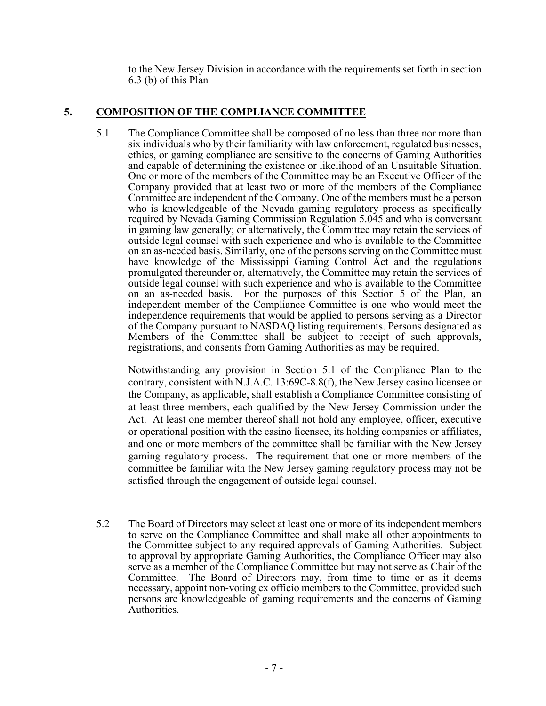to the New Jersey Division in accordance with the requirements set forth in section 6.3 (b) of this Plan

# **5. COMPOSITION OF THE COMPLIANCE COMMITTEE**

5.1 The Compliance Committee shall be composed of no less than three nor more than six individuals who by their familiarity with law enforcement, regulated businesses, ethics, or gaming compliance are sensitive to the concerns of Gaming Authorities and capable of determining the existence or likelihood of an Unsuitable Situation. One or more of the members of the Committee may be an Executive Officer of the Company provided that at least two or more of the members of the Compliance Committee are independent of the Company. One of the members must be a person who is knowledgeable of the Nevada gaming regulatory process as specifically required by Nevada Gaming Commission Regulation 5.045 and who is conversant in gaming law generally; or alternatively, the Committee may retain the services of outside legal counsel with such experience and who is available to the Committee on an as-needed basis. Similarly, one of the persons serving on the Committee must have knowledge of the Mississippi Gaming Control Act and the regulations promulgated thereunder or, alternatively, the Committee may retain the services of outside legal counsel with such experience and who is available to the Committee on an as-needed basis. For the purposes of this Section 5 of the Plan, an independent member of the Compliance Committee is one who would meet the independence requirements that would be applied to persons serving as a Director of the Company pursuant to NASDAQ listing requirements. Persons designated as Members of the Committee shall be subject to receipt of such approvals, registrations, and consents from Gaming Authorities as may be required.

Notwithstanding any provision in Section 5.1 of the Compliance Plan to the contrary, consistent with N.J.A.C. 13:69C-8.8(f), the New Jersey casino licensee or the Company, as applicable, shall establish a Compliance Committee consisting of at least three members, each qualified by the New Jersey Commission under the Act. At least one member thereof shall not hold any employee, officer, executive or operational position with the casino licensee, its holding companies or affiliates, and one or more members of the committee shall be familiar with the New Jersey gaming regulatory process. The requirement that one or more members of the committee be familiar with the New Jersey gaming regulatory process may not be satisfied through the engagement of outside legal counsel.

5.2 The Board of Directors may select at least one or more of its independent members to serve on the Compliance Committee and shall make all other appointments to the Committee subject to any required approvals of Gaming Authorities. Subject to approval by appropriate Gaming Authorities, the Compliance Officer may also serve as a member of the Compliance Committee but may not serve as Chair of the Committee. The Board of Directors may, from time to time or as it deems necessary, appoint non-voting ex officio members to the Committee, provided such persons are knowledgeable of gaming requirements and the concerns of Gaming Authorities.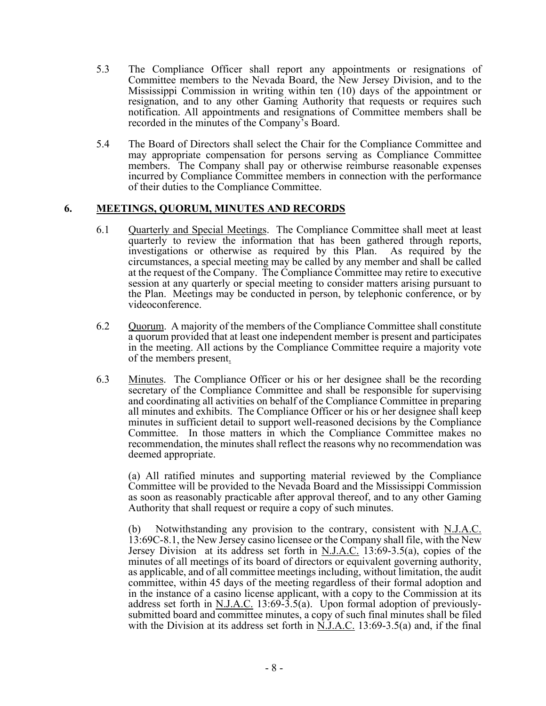- 5.3 The Compliance Officer shall report any appointments or resignations of Committee members to the Nevada Board, the New Jersey Division, and to the Mississippi Commission in writing within ten (10) days of the appointment or resignation, and to any other Gaming Authority that requests or requires such notification. All appointments and resignations of Committee members shall be recorded in the minutes of the Company's Board.
- 5.4 The Board of Directors shall select the Chair for the Compliance Committee and may appropriate compensation for persons serving as Compliance Committee members. The Company shall pay or otherwise reimburse reasonable expenses incurred by Compliance Committee members in connection with the performance of their duties to the Compliance Committee.

### **6. MEETINGS, QUORUM, MINUTES AND RECORDS**

- 6.1 Quarterly and Special Meetings. The Compliance Committee shall meet at least quarterly to review the information that has been gathered through reports, investigations or otherwise as required by this Plan. As required by the circumstances, a special meeting may be called by any member and shall be called at the request of the Company. The Compliance Committee may retire to executive session at any quarterly or special meeting to consider matters arising pursuant to the Plan. Meetings may be conducted in person, by telephonic conference, or by videoconference.
- 6.2 Quorum. A majority of the members of the Compliance Committee shall constitute a quorum provided that at least one independent member is present and participates in the meeting. All actions by the Compliance Committee require a majority vote of the members present.
- 6.3 Minutes. The Compliance Officer or his or her designee shall be the recording secretary of the Compliance Committee and shall be responsible for supervising and coordinating all activities on behalf of the Compliance Committee in preparing all minutes and exhibits. The Compliance Officer or his or her designee shall keep minutes in sufficient detail to support well-reasoned decisions by the Compliance Committee. In those matters in which the Compliance Committee makes no recommendation, the minutes shall reflect the reasons why no recommendation was deemed appropriate.

 (a) All ratified minutes and supporting material reviewed by the Compliance Committee will be provided to the Nevada Board and the Mississippi Commission as soon as reasonably practicable after approval thereof, and to any other Gaming

Authority that shall request or require a copy of such minutes.<br>
(b) Notwithstanding any provision to the contrary, consistent with N.J.A.C. 13:69C-8.1, the New Jersey casino licensee or the Company shall file, with the New Jersey Division at its address set forth in N.J.A.C. 13:69-3.5(a), copies of the minutes of all meetings of its board of directors or equivalent governing authority, as applicable, and of all committee meetings including, without limitation, the audit committee, within 45 days of the meeting regardless of their formal adoption and in the instance of a casino license applicant, with a copy to the Commission at its address set forth in N.J.A.C. 13:69-3.5(a). Upon formal adoption of previouslysubmitted board and committee minutes, a copy of such final minutes shall be filed with the Division at its address set forth in  $\tilde{N}$ .J.A.C. 13:69-3.5(a) and, if the final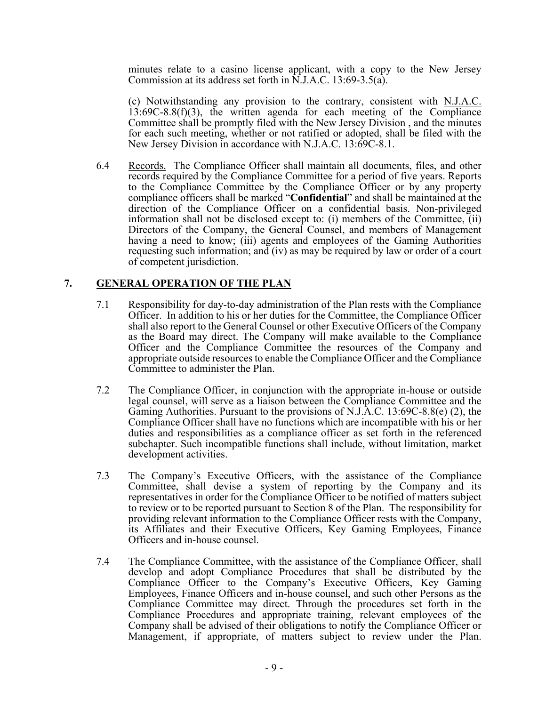minutes relate to a casino license applicant, with a copy to the New Jersey Commission at its address set forth in N.J.A.C. 13:69-3.5(a).

(c) Notwithstanding any provision to the contrary, consistent with  $N.J.A.C.$  $13:69C-8.8(f)(3)$ , the written agenda for each meeting of the Compliance Committee shall be promptly filed with the New Jersey Division , and the minutes for each such meeting, whether or not ratified or adopted, shall be filed with the New Jersey Division in accordance with N.J.A.C. 13:69C-8.1.

6.4 Records. The Compliance Officer shall maintain all documents, files, and other records required by the Compliance Committee for a period of five years. Reports to the Compliance Committee by the Compliance Officer or by any property compliance officers shall be marked "**Confidential**" and shall be maintained at the direction of the Compliance Officer on a confidential basis. Non-privileged information shall not be disclosed except to: (i) members of the Committee, (ii) Directors of the Company, the General Counsel, and members of Management having a need to know; (iii) agents and employees of the Gaming Authorities requesting such information; and (iv) as may be required by law or order of a court of competent jurisdiction.

### **7. GENERAL OPERATION OF THE PLAN**

- 7.1 Responsibility for day-to-day administration of the Plan rests with the Compliance Officer. In addition to his or her duties for the Committee, the Compliance Officer shall also report to the General Counsel or other Executive Officers of the Company as the Board may direct. The Company will make available to the Compliance Officer and the Compliance Committee the resources of the Company and appropriate outside resources to enable the Compliance Officer and the Compliance Committee to administer the Plan.
- 7.2 The Compliance Officer, in conjunction with the appropriate in-house or outside legal counsel, will serve as a liaison between the Compliance Committee and the Gaming Authorities. Pursuant to the provisions of N.J.A.C. 13:69C-8.8(e) (2), the Compliance Officer shall have no functions which are incompatible with his or her duties and responsibilities as a compliance officer as set forth in the referenced subchapter. Such incompatible functions shall include, without limitation, market development activities.
- 7.3 The Company's Executive Officers, with the assistance of the Compliance Committee, shall devise a system of reporting by the Company and its representatives in order for the Compliance Officer to be notified of matters subject to review or to be reported pursuant to Section 8 of the Plan. The responsibility for providing relevant information to the Compliance Officer rests with the Company, its Affiliates and their Executive Officers, Key Gaming Employees, Finance Officers and in-house counsel.
- 7.4 The Compliance Committee, with the assistance of the Compliance Officer, shall develop and adopt Compliance Procedures that shall be distributed by the Compliance Officer to the Company's Executive Officers, Key Gaming Employees, Finance Officers and in-house counsel, and such other Persons as the Compliance Committee may direct. Through the procedures set forth in the Compliance Procedures and appropriate training, relevant employees of the Company shall be advised of their obligations to notify the Compliance Officer or Management, if appropriate, of matters subject to review under the Plan.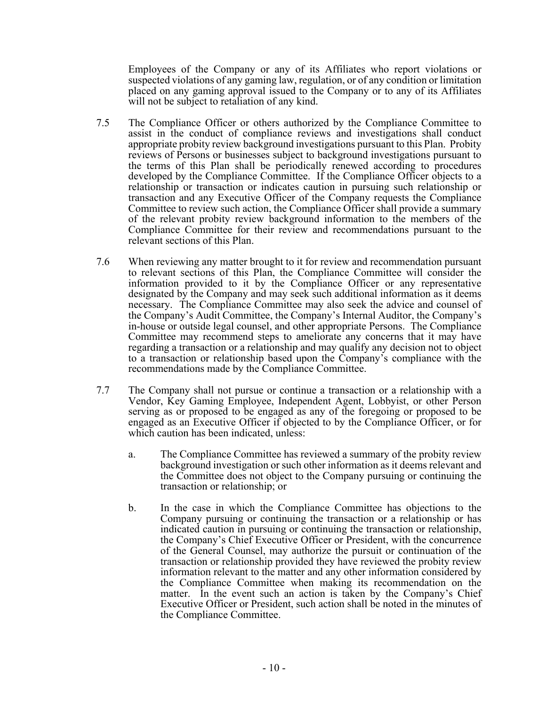Employees of the Company or any of its Affiliates who report violations or suspected violations of any gaming law, regulation, or of any condition or limitation placed on any gaming approval issued to the Company or to any of its Affiliates will not be subject to retaliation of any kind.

- 7.5 The Compliance Officer or others authorized by the Compliance Committee to assist in the conduct of compliance reviews and investigations shall conduct appropriate probity review background investigations pursuant to this Plan. Probity reviews of Persons or businesses subject to background investigations pursuant to the terms of this Plan shall be periodically renewed according to procedures developed by the Compliance Committee. If the Compliance Officer objects to a relationship or transaction or indicates caution in pursuing such relationship or transaction and any Executive Officer of the Company requests the Compliance Committee to review such action, the Compliance Officer shall provide a summary of the relevant probity review background information to the members of the Compliance Committee for their review and recommendations pursuant to the relevant sections of this Plan.
- 7.6 When reviewing any matter brought to it for review and recommendation pursuant to relevant sections of this Plan, the Compliance Committee will consider the information provided to it by the Compliance Officer or any representative designated by the Company and may seek such additional information as it deems necessary. The Compliance Committee may also seek the advice and counsel of the Company's Audit Committee, the Company's Internal Auditor, the Company's in-house or outside legal counsel, and other appropriate Persons. The Compliance Committee may recommend steps to ameliorate any concerns that it may have regarding a transaction or a relationship and may qualify any decision not to object to a transaction or relationship based upon the Company's compliance with the recommendations made by the Compliance Committee.
- 7.7 The Company shall not pursue or continue a transaction or a relationship with a Vendor, Key Gaming Employee, Independent Agent, Lobbyist, or other Person serving as or proposed to be engaged as any of the foregoing or proposed to be engaged as an Executive Officer if objected to by the Compliance Officer, or for which caution has been indicated, unless:
	- a. The Compliance Committee has reviewed a summary of the probity review background investigation or such other information as it deems relevant and the Committee does not object to the Company pursuing or continuing the transaction or relationship; or
	- b. In the case in which the Compliance Committee has objections to the Company pursuing or continuing the transaction or a relationship or has indicated caution in pursuing or continuing the transaction or relationship, the Company's Chief Executive Officer or President, with the concurrence of the General Counsel, may authorize the pursuit or continuation of the transaction or relationship provided they have reviewed the probity review information relevant to the matter and any other information considered by the Compliance Committee when making its recommendation on the matter. In the event such an action is taken by the Company's Chief Executive Officer or President, such action shall be noted in the minutes of the Compliance Committee.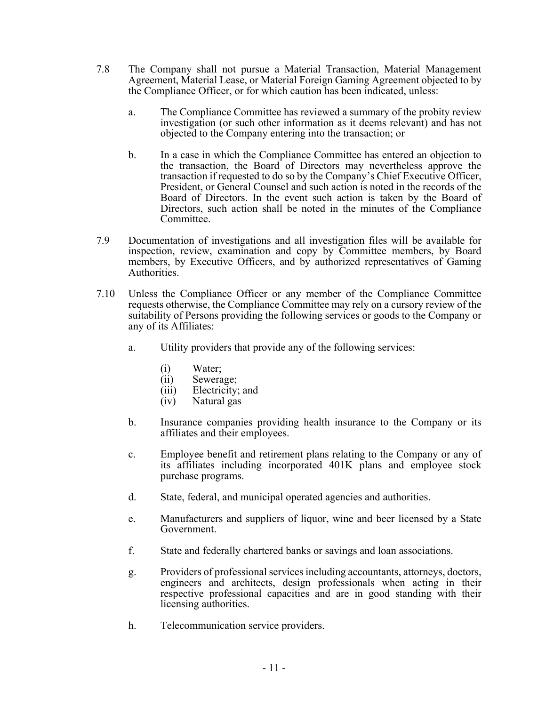- 7.8 The Company shall not pursue a Material Transaction, Material Management Agreement, Material Lease, or Material Foreign Gaming Agreement objected to by the Compliance Officer, or for which caution has been indicated, unless:
	- a. The Compliance Committee has reviewed a summary of the probity review investigation (or such other information as it deems relevant) and has not objected to the Company entering into the transaction; or
	- b. In a case in which the Compliance Committee has entered an objection to the transaction, the Board of Directors may nevertheless approve the transaction if requested to do so by the Company's Chief Executive Officer, President, or General Counsel and such action is noted in the records of the Board of Directors. In the event such action is taken by the Board of Directors, such action shall be noted in the minutes of the Compliance Committee.
- 7.9 Documentation of investigations and all investigation files will be available for inspection, review, examination and copy by Committee members, by Board members, by Executive Officers, and by authorized representatives of Gaming Authorities.
- 7.10 Unless the Compliance Officer or any member of the Compliance Committee requests otherwise, the Compliance Committee may rely on a cursory review of the suitability of Persons providing the following services or goods to the Company or any of its Affiliates:
	- a. Utility providers that provide any of the following services:
		- (i) Water;
		- (ii) Sewerage;
		- (iii) Electricity; and
		- (iv) Natural gas
	- b. Insurance companies providing health insurance to the Company or its affiliates and their employees.
	- c. Employee benefit and retirement plans relating to the Company or any of its affiliates including incorporated 401K plans and employee stock purchase programs.
	- d. State, federal, and municipal operated agencies and authorities.
	- e. Manufacturers and suppliers of liquor, wine and beer licensed by a State Government.
	- f. State and federally chartered banks or savings and loan associations.
	- g. Providers of professional services including accountants, attorneys, doctors, engineers and architects, design professionals when acting in their respective professional capacities and are in good standing with their licensing authorities.
	- h. Telecommunication service providers.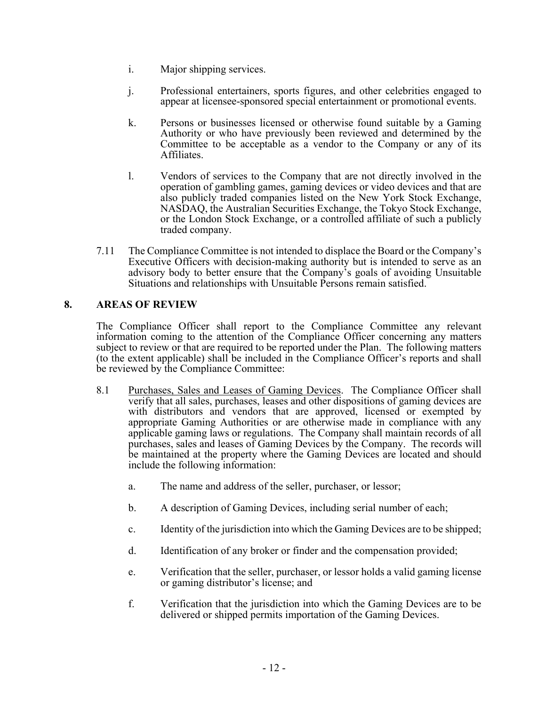- i. Major shipping services.
- j. Professional entertainers, sports figures, and other celebrities engaged to appear at licensee-sponsored special entertainment or promotional events.
- k. Persons or businesses licensed or otherwise found suitable by a Gaming Authority or who have previously been reviewed and determined by the Committee to be acceptable as a vendor to the Company or any of its Affiliates.
- l. Vendors of services to the Company that are not directly involved in the operation of gambling games, gaming devices or video devices and that are also publicly traded companies listed on the New York Stock Exchange, NASDAQ, the Australian Securities Exchange, the Tokyo Stock Exchange, or the London Stock Exchange, or a controlled affiliate of such a publicly traded company.
- 7.11 The Compliance Committee is not intended to displace the Board or the Company's Executive Officers with decision-making authority but is intended to serve as an advisory body to better ensure that the Company's goals of avoiding Unsuitable Situations and relationships with Unsuitable Persons remain satisfied.

## **8. AREAS OF REVIEW**

The Compliance Officer shall report to the Compliance Committee any relevant information coming to the attention of the Compliance Officer concerning any matters subject to review or that are required to be reported under the Plan. The following matters (to the extent applicable) shall be included in the Compliance Officer's reports and shall be reviewed by the Compliance Committee:

- 8.1 Purchases, Sales and Leases of Gaming Devices. The Compliance Officer shall verify that all sales, purchases, leases and other dispositions of gaming devices are with distributors and vendors that are approved, licensed or exempted by appropriate Gaming Authorities or are otherwise made in compliance with any applicable gaming laws or regulations. The Company shall maintain records of all purchases, sales and leases of Gaming Devices by the Company. The records will be maintained at the property where the Gaming Devices are located and should include the following information:
	- a. The name and address of the seller, purchaser, or lessor;
	- b. A description of Gaming Devices, including serial number of each;
	- c. Identity of the jurisdiction into which the Gaming Devices are to be shipped;
	- d. Identification of any broker or finder and the compensation provided;
	- e. Verification that the seller, purchaser, or lessor holds a valid gaming license or gaming distributor's license; and
	- f. Verification that the jurisdiction into which the Gaming Devices are to be delivered or shipped permits importation of the Gaming Devices.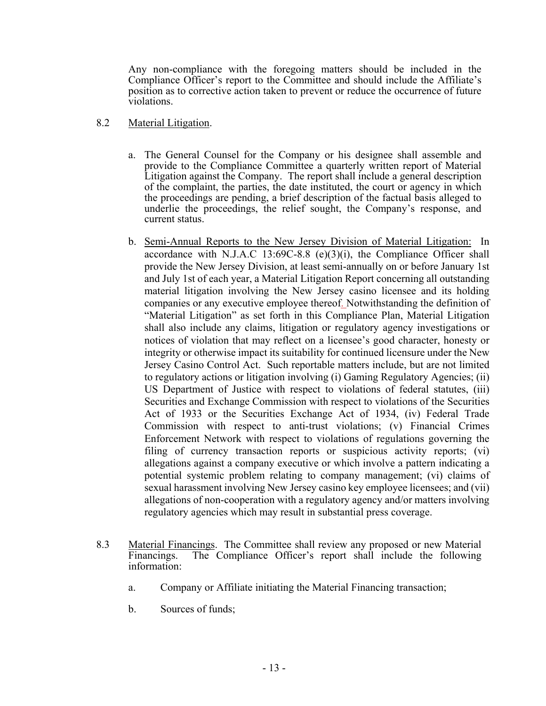Any non-compliance with the foregoing matters should be included in the Compliance Officer's report to the Committee and should include the Affiliate's position as to corrective action taken to prevent or reduce the occurrence of future violations.

### 8.2 Material Litigation.

- a. The General Counsel for the Company or his designee shall assemble and provide to the Compliance Committee a quarterly written report of Material Litigation against the Company. The report shall include a general description of the complaint, the parties, the date instituted, the court or agency in which the proceedings are pending, a brief description of the factual basis alleged to underlie the proceedings, the relief sought, the Company's response, and current status.
- b. Semi-Annual Reports to the New Jersey Division of Material Litigation: In accordance with N.J.A.C 13:69C-8.8 (e)(3)(i), the Compliance Officer shall provide the New Jersey Division, at least semi-annually on or before January 1st and July 1st of each year, a Material Litigation Report concerning all outstanding material litigation involving the New Jersey casino licensee and its holding companies or any executive employee thereof. Notwithstanding the definition of "Material Litigation" as set forth in this Compliance Plan, Material Litigation shall also include any claims, litigation or regulatory agency investigations or notices of violation that may reflect on a licensee's good character, honesty or integrity or otherwise impact its suitability for continued licensure under the New Jersey Casino Control Act. Such reportable matters include, but are not limited to regulatory actions or litigation involving (i) Gaming Regulatory Agencies; (ii) US Department of Justice with respect to violations of federal statutes, (iii) Securities and Exchange Commission with respect to violations of the Securities Act of 1933 or the Securities Exchange Act of 1934, (iv) Federal Trade Commission with respect to anti-trust violations; (v) Financial Crimes Enforcement Network with respect to violations of regulations governing the filing of currency transaction reports or suspicious activity reports; (vi) allegations against a company executive or which involve a pattern indicating a potential systemic problem relating to company management; (vi) claims of sexual harassment involving New Jersey casino key employee licensees; and (vii) allegations of non-cooperation with a regulatory agency and/or matters involving regulatory agencies which may result in substantial press coverage.
- 8.3 Material Financings. The Committee shall review any proposed or new Material<br>Financings. The Compliance Officer's report shall include the following The Compliance Officer's report shall include the following information:
	- a. Company or Affiliate initiating the Material Financing transaction;
	- b. Sources of funds;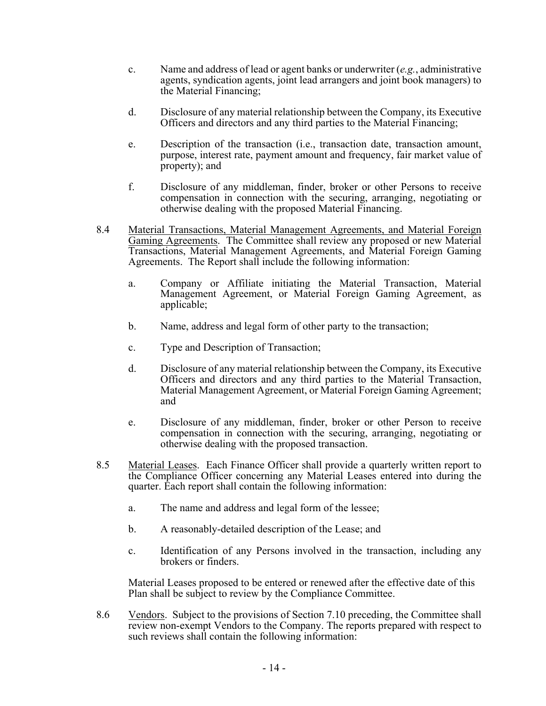- c. Name and address of lead or agent banks or underwriter (*e.g.*, administrative agents, syndication agents, joint lead arrangers and joint book managers) to the Material Financing;
- d. Disclosure of any material relationship between the Company, its Executive Officers and directors and any third parties to the Material Financing;
- e. Description of the transaction (i.e., transaction date, transaction amount, purpose, interest rate, payment amount and frequency, fair market value of property); and
- f. Disclosure of any middleman, finder, broker or other Persons to receive compensation in connection with the securing, arranging, negotiating or otherwise dealing with the proposed Material Financing.
- 8.4 Material Transactions, Material Management Agreements, and Material Foreign Gaming Agreements. The Committee shall review any proposed or new Material Transactions, Material Management Agreements, and Material Foreign Gaming Agreements. The Report shall include the following information: a. Company or Affiliate initiating the Material Transaction, Material
	- Management Agreement, or Material Foreign Gaming Agreement, as applicable;
	- b. Name, address and legal form of other party to the transaction;
	- c. Type and Description of Transaction;
	- d. Disclosure of any material relationship between the Company, its Executive Officers and directors and any third parties to the Material Transaction, Material Management Agreement, or Material Foreign Gaming Agreement; and
	- e. Disclosure of any middleman, finder, broker or other Person to receive compensation in connection with the securing, arranging, negotiating or otherwise dealing with the proposed transaction.
- 8.5 Material Leases. Each Finance Officer shall provide a quarterly written report to the Compliance Officer concerning any Material Leases entered into during the quarter. Each report shall contain the following information:
	- a. The name and address and legal form of the lessee;
	- b. A reasonably-detailed description of the Lease; and
	- c. Identification of any Persons involved in the transaction, including any brokers or finders.

Material Leases proposed to be entered or renewed after the effective date of this Plan shall be subject to review by the Compliance Committee.

8.6 Vendors. Subject to the provisions of Section 7.10 preceding, the Committee shall review non-exempt Vendors to the Company. The reports prepared with respect to such reviews shall contain the following information: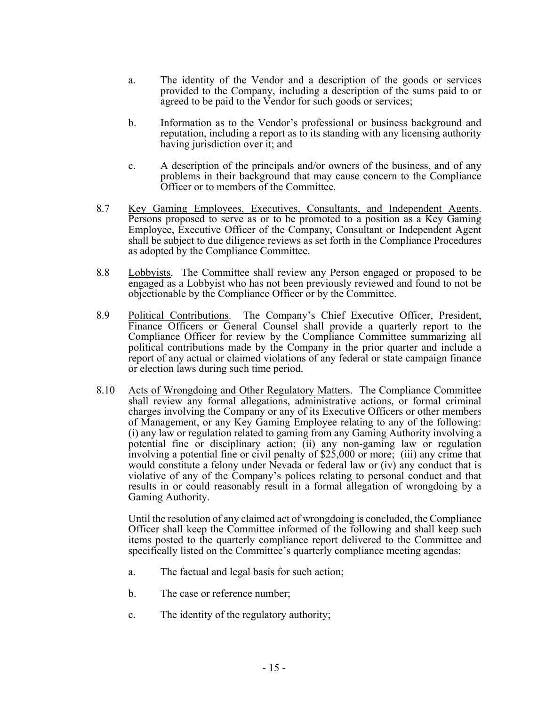- a. The identity of the Vendor and a description of the goods or services provided to the Company, including a description of the sums paid to or agreed to be paid to the Vendor for such goods or services;
- b. Information as to the Vendor's professional or business background and reputation, including a report as to its standing with any licensing authority having jurisdiction over it; and
- c. A description of the principals and/or owners of the business, and of any problems in their background that may cause concern to the Compliance Officer or to members of the Committee.
- 8.7 Key Gaming Employees, Executives, Consultants, and Independent Agents. Persons proposed to serve as or to be promoted to a position as a Key Gaming Employee, Executive Officer of the Company, Consultant or Independent Agent shall be subject to due diligence reviews as set forth in the Compliance Procedures as adopted by the Compliance Committee.
- 8.8 Lobbyists. The Committee shall review any Person engaged or proposed to be engaged as a Lobbyist who has not been previously reviewed and found to not be objectionable by the Compliance Officer or by the Committee.
- 8.9 Political Contributions. The Company's Chief Executive Officer, President, Finance Officers or General Counsel shall provide a quarterly report to the Compliance Officer for review by the Compliance Committee summarizing all political contributions made by the Company in the prior quarter and include a report of any actual or claimed violations of any federal or state campaign finance or election laws during such time period.
- 8.10 Acts of Wrongdoing and Other Regulatory Matters. The Compliance Committee shall review any formal allegations, administrative actions, or formal criminal charges involving the Company or any of its Executive Officers or other members of Management, or any Key Gaming Employee relating to any of the following: (i) any law or regulation related to gaming from any Gaming Authority involving a potential fine or disciplinary action; (ii) any non-gaming law or regulation involving a potential fine or civil penalty of \$25,000 or more; (iii) any crime that would constitute a felony under Nevada or federal law or (iv) any conduct that is violative of any of the Company's polices relating to personal conduct and that results in or could reasonably result in a formal allegation of wrongdoing by a Gaming Authority.

 Until the resolution of any claimed act of wrongdoing is concluded, the Compliance Officer shall keep the Committee informed of the following and shall keep such items posted to the quarterly compliance report delivered to the Committee and specifically listed on the Committee's quarterly compliance meeting agendas:

- a. The factual and legal basis for such action;
- b. The case or reference number;
- c. The identity of the regulatory authority;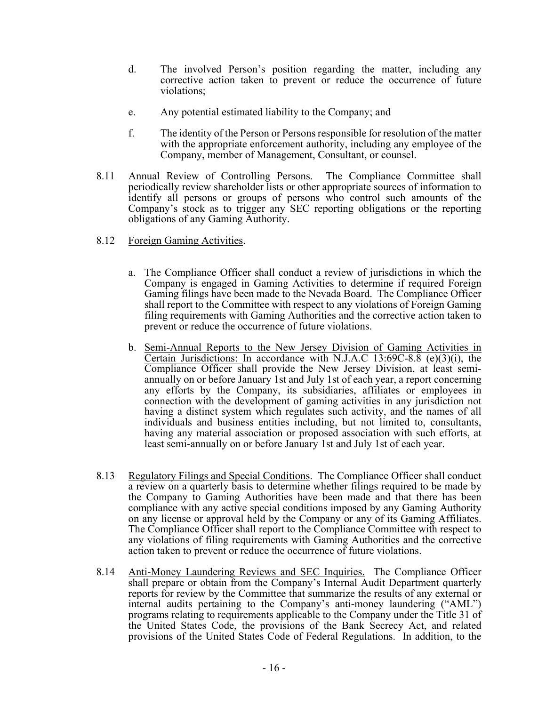- d. The involved Person's position regarding the matter, including any corrective action taken to prevent or reduce the occurrence of future violations;
- e. Any potential estimated liability to the Company; and
- f. The identity of the Person or Persons responsible for resolution of the matter with the appropriate enforcement authority, including any employee of the Company, member of Management, Consultant, or counsel.
- 8.11 Annual Review of Controlling Persons. The Compliance Committee shall periodically review shareholder lists or other appropriate sources of information to identify all persons or groups of persons who control such amounts of the Company's stock as to trigger any SEC reporting obligations or the reporting obligations of any Gaming Authority.
- 8.12 Foreign Gaming Activities.
	- a. The Compliance Officer shall conduct a review of jurisdictions in which the Company is engaged in Gaming Activities to determine if required Foreign Gaming filings have been made to the Nevada Board. The Compliance Officer shall report to the Committee with respect to any violations of Foreign Gaming filing requirements with Gaming Authorities and the corrective action taken to prevent or reduce the occurrence of future violations.
	- b. Semi-Annual Reports to the New Jersey Division of Gaming Activities in Certain Jurisdictions: In accordance with N.J.A.C 13:69C-8.8 (e)(3)(i), the Compliance Officer shall provide the New Jersey Division, at least semiannually on or before January 1st and July 1st of each year, a report concerning any efforts by the Company, its subsidiaries, affiliates or employees in connection with the development of gaming activities in any jurisdiction not having a distinct system which regulates such activity, and the names of all individuals and business entities including, but not limited to, consultants, having any material association or proposed association with such efforts, at least semi-annually on or before January 1st and July 1st of each year.
- 8.13 Regulatory Filings and Special Conditions. The Compliance Officer shall conduct a review on a quarterly basis to determine whether filings required to be made by the Company to Gaming Authorities have been made and that there has been compliance with any active special conditions imposed by any Gaming Authority on any license or approval held by the Company or any of its Gaming Affiliates. The Compliance Officer shall report to the Compliance Committee with respect to any violations of filing requirements with Gaming Authorities and the corrective action taken to prevent or reduce the occurrence of future violations.
- 8.14 Anti-Money Laundering Reviews and SEC Inquiries. The Compliance Officer shall prepare or obtain from the Company's Internal Audit Department quarterly reports for review by the Committee that summarize the results of any external or internal audits pertaining to the Company's anti-money laundering ("AML") programs relating to requirements applicable to the Company under the Title 31 of the United States Code, the provisions of the Bank Secrecy Act, and related provisions of the United States Code of Federal Regulations. In addition, to the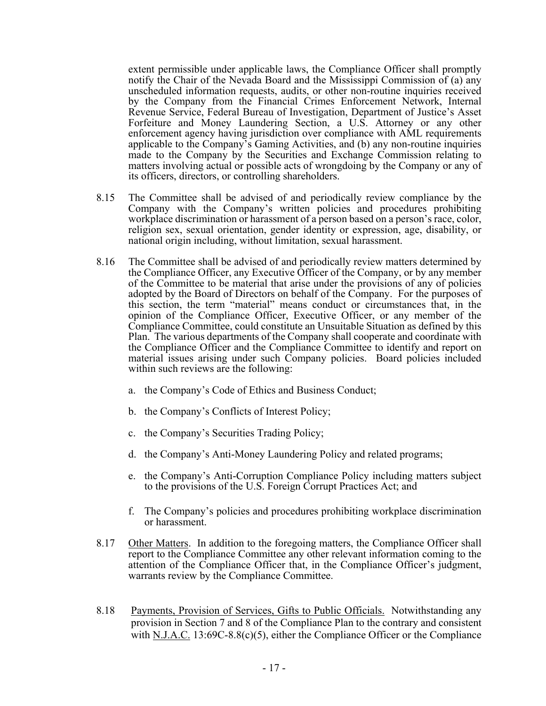extent permissible under applicable laws, the Compliance Officer shall promptly notify the Chair of the Nevada Board and the Mississippi Commission of (a) any unscheduled information requests, audits, or other non-routine inquiries received by the Company from the Financial Crimes Enforcement Network, Internal Revenue Service, Federal Bureau of Investigation, Department of Justice's Asset Forfeiture and Money Laundering Section, a U.S. Attorney or any other enforcement agency having jurisdiction over compliance with AML requirements applicable to the Company's Gaming Activities, and (b) any non-routine inquiries made to the Company by the Securities and Exchange Commission relating to matters involving actual or possible acts of wrongdoing by the Company or any of its officers, directors, or controlling shareholders.

- 8.15 The Committee shall be advised of and periodically review compliance by the Company with the Company's written policies and procedures prohibiting workplace discrimination or harassment of a person based on a person's race, color, religion sex, sexual orientation, gender identity or expression, age, disability, or national origin including, without limitation, sexual harassment.
- 8.16 The Committee shall be advised of and periodically review matters determined by the Compliance Officer, any Executive Officer of the Company, or by any member of the Committee to be material that arise under the provisions of any of policies adopted by the Board of Directors on behalf of the Company. For the purposes of this section, the term "material" means conduct or circumstances that, in the opinion of the Compliance Officer, Executive Officer, or any member of the Compliance Committee, could constitute an Unsuitable Situation as defined by this Plan. The various departments of the Company shall cooperate and coordinate with the Compliance Officer and the Compliance Committee to identify and report on material issues arising under such Company policies. Board policies included within such reviews are the following:
	- a. the Company's Code of Ethics and Business Conduct;
	- b. the Company's Conflicts of Interest Policy;
	- c. the Company's Securities Trading Policy;
	- d. the Company's Anti-Money Laundering Policy and related programs;
	- e. the Company's Anti-Corruption Compliance Policy including matters subject to the provisions of the U.S. Foreign Corrupt Practices Act; and
	- f. The Company's policies and procedures prohibiting workplace discrimination or harassment.
- 8.17 Other Matters. In addition to the foregoing matters, the Compliance Officer shall report to the Compliance Committee any other relevant information coming to the attention of the Compliance Officer that, in the Compliance Officer's judgment, warrants review by the Compliance Committee.
- 8.18 Payments, Provision of Services, Gifts to Public Officials. Notwithstanding any provision in Section 7 and 8 of the Compliance Plan to the contrary and consistent with N.J.A.C. 13:69C-8.8(c)(5), either the Compliance Officer or the Compliance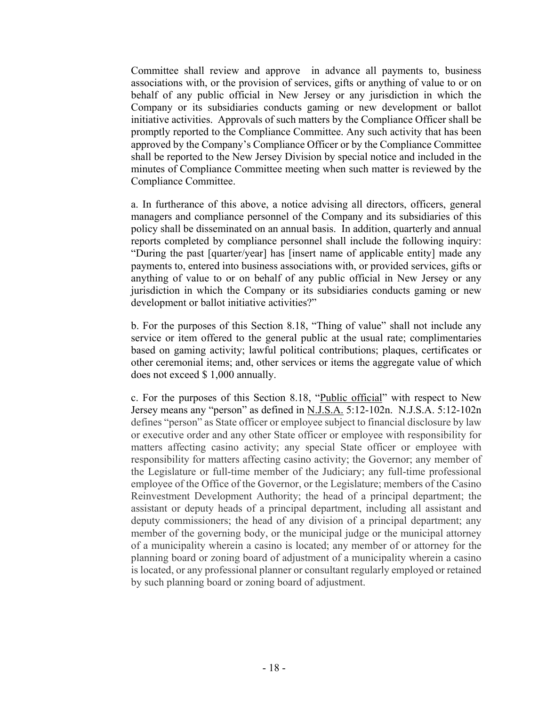Committee shall review and approve in advance all payments to, business associations with, or the provision of services, gifts or anything of value to or on behalf of any public official in New Jersey or any jurisdiction in which the Company or its subsidiaries conducts gaming or new development or ballot initiative activities. Approvals of such matters by the Compliance Officer shall be promptly reported to the Compliance Committee. Any such activity that has been approved by the Company's Compliance Officer or by the Compliance Committee shall be reported to the New Jersey Division by special notice and included in the minutes of Compliance Committee meeting when such matter is reviewed by the Compliance Committee.

a. In furtherance of this above, a notice advising all directors, officers, general managers and compliance personnel of the Company and its subsidiaries of this policy shall be disseminated on an annual basis. In addition, quarterly and annual reports completed by compliance personnel shall include the following inquiry: "During the past [quarter/year] has [insert name of applicable entity] made any payments to, entered into business associations with, or provided services, gifts or anything of value to or on behalf of any public official in New Jersey or any jurisdiction in which the Company or its subsidiaries conducts gaming or new development or ballot initiative activities?"

b. For the purposes of this Section 8.18, "Thing of value" shall not include any service or item offered to the general public at the usual rate; complimentaries based on gaming activity; lawful political contributions; plaques, certificates or other ceremonial items; and, other services or items the aggregate value of which does not exceed \$ 1,000 annually.

c. For the purposes of this Section 8.18, "Public official" with respect to New Jersey means any "person" as defined in N.J.S.A. 5:12-102n. N.J.S.A. 5:12-102n defines "person" as State officer or employee subject to financial disclosure by law or executive order and any other State officer or employee with responsibility for matters affecting casino activity; any special State officer or employee with responsibility for matters affecting casino activity; the Governor; any member of the Legislature or full-time member of the Judiciary; any full-time professional employee of the Office of the Governor, or the Legislature; members of the Casino Reinvestment Development Authority; the head of a principal department; the assistant or deputy heads of a principal department, including all assistant and deputy commissioners; the head of any division of a principal department; any member of the governing body, or the municipal judge or the municipal attorney of a municipality wherein a casino is located; any member of or attorney for the planning board or zoning board of adjustment of a municipality wherein a casino is located, or any professional planner or consultant regularly employed or retained by such planning board or zoning board of adjustment.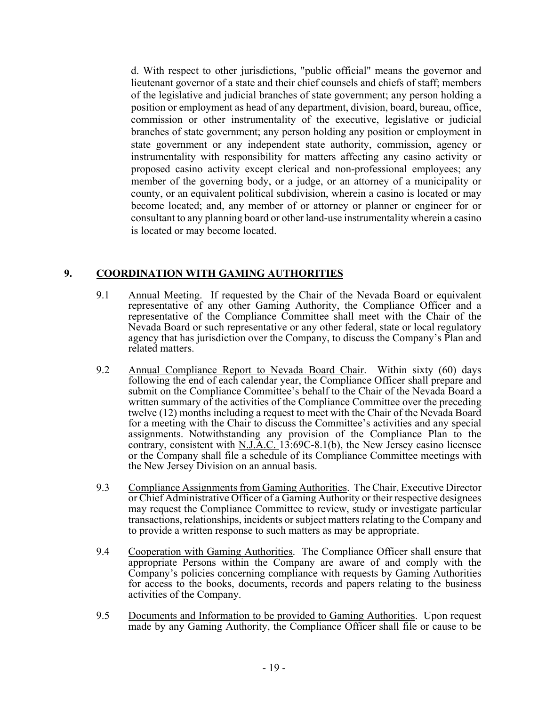d. With respect to other jurisdictions, "public official" means the governor and lieutenant governor of a state and their chief counsels and chiefs of staff; members of the legislative and judicial branches of state government; any person holding a position or employment as head of any department, division, board, bureau, office, commission or other instrumentality of the executive, legislative or judicial branches of state government; any person holding any position or employment in state government or any independent state authority, commission, agency or instrumentality with responsibility for matters affecting any casino activity or proposed casino activity except clerical and non-professional employees; any member of the governing body, or a judge, or an attorney of a municipality or county, or an equivalent political subdivision, wherein a casino is located or may become located; and, any member of or attorney or planner or engineer for or consultant to any planning board or other land-use instrumentality wherein a casino is located or may become located.

# **9. COORDINATION WITH GAMING AUTHORITIES**

- 9.1 Annual Meeting. If requested by the Chair of the Nevada Board or equivalent representative of any other Gaming Authority, the Compliance Officer and a representative of the Compliance Committee shall meet with the Chair of the Nevada Board or such representative or any other federal, state or local regulatory agency that has jurisdiction over the Company, to discuss the Company's Plan and related matters.
- 9.2 Annual Compliance Report to Nevada Board Chair. Within sixty (60) days following the end of each calendar year, the Compliance Officer shall prepare and submit on the Compliance Committee's behalf to the Chair of the Nevada Board a written summary of the activities of the Compliance Committee over the preceding twelve (12) months including a request to meet with the Chair of the Nevada Board for a meeting with the Chair to discuss the Committee's activities and any special assignments. Notwithstanding any provision of the Compliance Plan to the contrary, consistent with N.J.A.C. 13:69C-8.1(b), the New Jersey casino licensee or the Company shall file a schedule of its Compliance Committee meetings with the New Jersey Division on an annual basis.
- 9.3 Compliance Assignments from Gaming Authorities. The Chair, Executive Director or Chief Administrative Officer of a Gaming Authority or their respective designees may request the Compliance Committee to review, study or investigate particular transactions, relationships, incidents or subject matters relating to the Company and to provide a written response to such matters as may be appropriate.
- 9.4 Cooperation with Gaming Authorities. The Compliance Officer shall ensure that appropriate Persons within the Company are aware of and comply with the Company's policies concerning compliance with requests by Gaming Authorities for access to the books, documents, records and papers relating to the business activities of the Company.
- 9.5 Documents and Information to be provided to Gaming Authorities. Upon request made by any Gaming Authority, the Compliance Officer shall file or cause to be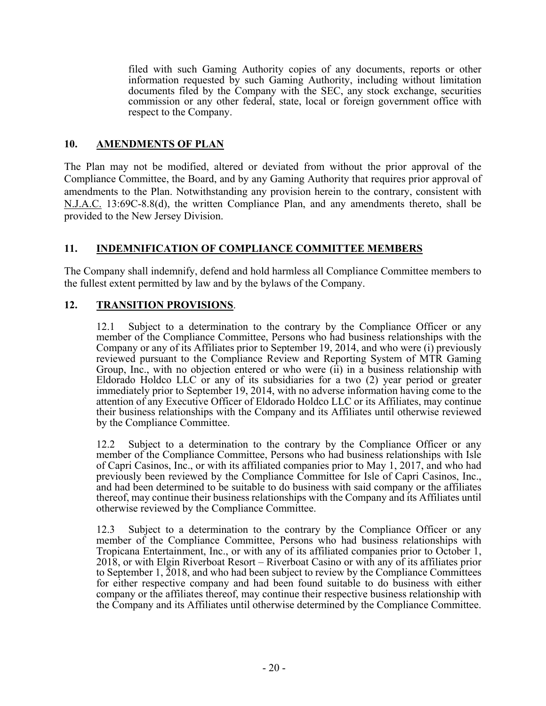filed with such Gaming Authority copies of any documents, reports or other information requested by such Gaming Authority, including without limitation documents filed by the Company with the SEC, any stock exchange, securities commission or any other federal, state, local or foreign government office with respect to the Company.

## **10. AMENDMENTS OF PLAN**

The Plan may not be modified, altered or deviated from without the prior approval of the Compliance Committee, the Board, and by any Gaming Authority that requires prior approval of amendments to the Plan. Notwithstanding any provision herein to the contrary, consistent with N.J.A.C. 13:69C-8.8(d), the written Compliance Plan, and any amendments thereto, shall be provided to the New Jersey Division.

# **11. INDEMNIFICATION OF COMPLIANCE COMMITTEE MEMBERS**

The Company shall indemnify, defend and hold harmless all Compliance Committee members to the fullest extent permitted by law and by the bylaws of the Company.

# **12. TRANSITION PROVISIONS**.

12.1 Subject to a determination to the contrary by the Compliance Officer or any member of the Compliance Committee, Persons who had business relationships with the Company or any of its Affiliates prior to September 19, 2014, and who were (i) previously reviewed pursuant to the Compliance Review and Reporting System of MTR Gaming Group, Inc., with no objection entered or who were (ii) in a business relationship with Eldorado Holdco LLC or any of its subsidiaries for a two (2) year period or greater immediately prior to September 19, 2014, with no adverse information having come to the attention of any Executive Officer of Eldorado Holdco LLC or its Affiliates, may continue their business relationships with the Company and its Affiliates until otherwise reviewed by the Compliance Committee.

12.2 Subject to a determination to the contrary by the Compliance Officer or any member of the Compliance Committee, Persons who had business relationships with Isle of Capri Casinos, Inc., or with its affiliated companies prior to May 1, 2017, and who had previously been reviewed by the Compliance Committee for Isle of Capri Casinos, Inc., and had been determined to be suitable to do business with said company or the affiliates thereof, may continue their business relationships with the Company and its Affiliates until otherwise reviewed by the Compliance Committee.

12.3 Subject to a determination to the contrary by the Compliance Officer or any member of the Compliance Committee, Persons who had business relationships with Tropicana Entertainment, Inc., or with any of its affiliated companies prior to October 1, 2018, or with Elgin Riverboat Resort – Riverboat Casino or with any of its affiliates prior to September 1, 2018, and who had been subject to review by the Compliance Committees for either respective company and had been found suitable to do business with either company or the affiliates thereof, may continue their respective business relationship with the Company and its Affiliates until otherwise determined by the Compliance Committee.